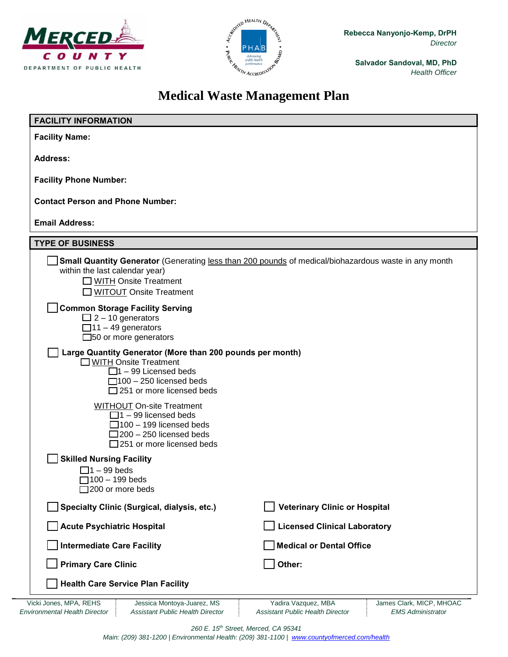



**Salvador Sandoval, MD, PhD** *Health Officer*

# **Medical Waste Management Plan**

| <b>FACILITY INFORMATION</b>                                                                                                                                                                     |                                                                                                      |
|-------------------------------------------------------------------------------------------------------------------------------------------------------------------------------------------------|------------------------------------------------------------------------------------------------------|
| <b>Facility Name:</b>                                                                                                                                                                           |                                                                                                      |
| <b>Address:</b>                                                                                                                                                                                 |                                                                                                      |
| <b>Facility Phone Number:</b>                                                                                                                                                                   |                                                                                                      |
| <b>Contact Person and Phone Number:</b>                                                                                                                                                         |                                                                                                      |
| <b>Email Address:</b>                                                                                                                                                                           |                                                                                                      |
|                                                                                                                                                                                                 |                                                                                                      |
| <b>TYPE OF BUSINESS</b><br>within the last calendar year)<br>$\Box$ WITH Onsite Treatment<br>□ WITOUT Onsite Treatment                                                                          | Small Quantity Generator (Generating less than 200 pounds of medical/biohazardous waste in any month |
| _ Common Storage Facility Serving<br>$\Box$ 2 – 10 generators<br>$\Box$ 11 - 49 generators<br>$\square$ 50 or more generators                                                                   |                                                                                                      |
| Large Quantity Generator (More than 200 pounds per month)<br><b>JWITH Onsite Treatment</b><br>$\Box$ 1 – 99 Licensed beds<br>$\Box$ 100 - 250 licensed beds<br>$\Box$ 251 or more licensed beds |                                                                                                      |
| <b>WITHOUT On-site Treatment</b><br>$\Box$ 1 – 99 licensed beds<br>$\Box$ 100 – 199 licensed beds<br>$\Box$ 200 – 250 licensed beds<br>$\Box$ 251 or more licensed beds                         |                                                                                                      |
| <b>Skilled Nursing Facility</b><br>$\Box$ 1 – 99 beds<br>$\Box$ 100 - 199 beds<br>$\Box$ 200 or more beds                                                                                       |                                                                                                      |
| Specialty Clinic (Surgical, dialysis, etc.)                                                                                                                                                     | <b>Veterinary Clinic or Hospital</b>                                                                 |
| <b>Acute Psychiatric Hospital</b>                                                                                                                                                               | <b>Licensed Clinical Laboratory</b>                                                                  |
| <b>Intermediate Care Facility</b>                                                                                                                                                               | <b>Medical or Dental Office</b>                                                                      |
| <b>Primary Care Clinic</b>                                                                                                                                                                      | Other:                                                                                               |
| <b>Health Care Service Plan Facility</b>                                                                                                                                                        |                                                                                                      |

*260 E. 15th Street, Merced, CA 95341*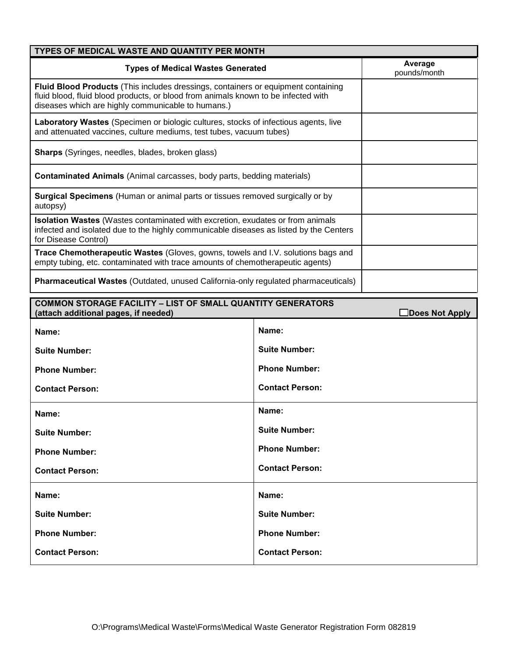| TYPES OF MEDICAL WASTE AND QUANTITY PER MONTH                                                                                                                                                                                        |                         |  |
|--------------------------------------------------------------------------------------------------------------------------------------------------------------------------------------------------------------------------------------|-------------------------|--|
| <b>Types of Medical Wastes Generated</b>                                                                                                                                                                                             | Average<br>pounds/month |  |
| <b>Fluid Blood Products</b> (This includes dressings, containers or equipment containing<br>fluid blood, fluid blood products, or blood from animals known to be infected with<br>diseases which are highly communicable to humans.) |                         |  |
| Laboratory Wastes (Specimen or biologic cultures, stocks of infectious agents, live<br>and attenuated vaccines, culture mediums, test tubes, vacuum tubes)                                                                           |                         |  |
| Sharps (Syringes, needles, blades, broken glass)                                                                                                                                                                                     |                         |  |
| <b>Contaminated Animals</b> (Animal carcasses, body parts, bedding materials)                                                                                                                                                        |                         |  |
| <b>Surgical Specimens</b> (Human or animal parts or tissues removed surgically or by<br>autopsy)                                                                                                                                     |                         |  |
| <b>Isolation Wastes</b> (Wastes contaminated with excretion, exudates or from animals<br>infected and isolated due to the highly communicable diseases as listed by the Centers<br>for Disease Control)                              |                         |  |
| <b>Trace Chemotherapeutic Wastes (Gloves, gowns, towels and I.V. solutions bags and</b><br>empty tubing, etc. contaminated with trace amounts of chemotherapeutic agents)                                                            |                         |  |
| <b>Pharmaceutical Wastes (Outdated, unused California-only regulated pharmaceuticals)</b>                                                                                                                                            |                         |  |

| <b>COMMON STORAGE FACILITY - LIST OF SMALL QUANTITY GENERATORS</b><br>(attach additional pages, if needed)<br>$\Box$ Does Not Apply |                        |
|-------------------------------------------------------------------------------------------------------------------------------------|------------------------|
| Name:                                                                                                                               | Name:                  |
| <b>Suite Number:</b>                                                                                                                | <b>Suite Number:</b>   |
| <b>Phone Number:</b>                                                                                                                | <b>Phone Number:</b>   |
| <b>Contact Person:</b>                                                                                                              | <b>Contact Person:</b> |
| Name:                                                                                                                               | Name:                  |
| <b>Suite Number:</b>                                                                                                                | <b>Suite Number:</b>   |
| <b>Phone Number:</b>                                                                                                                | <b>Phone Number:</b>   |
| <b>Contact Person:</b>                                                                                                              | <b>Contact Person:</b> |
| Name:                                                                                                                               | Name:                  |
| <b>Suite Number:</b>                                                                                                                | <b>Suite Number:</b>   |
| <b>Phone Number:</b>                                                                                                                | <b>Phone Number:</b>   |
| <b>Contact Person:</b>                                                                                                              | <b>Contact Person:</b> |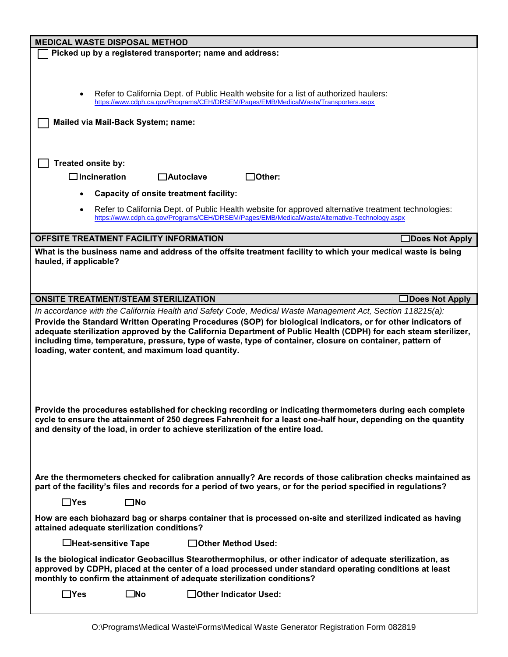| <b>MEDICAL WASTE DISPOSAL METHOD</b>                                                                                                                                                                                                                                                                                                                                                                                                                                                                              |  |
|-------------------------------------------------------------------------------------------------------------------------------------------------------------------------------------------------------------------------------------------------------------------------------------------------------------------------------------------------------------------------------------------------------------------------------------------------------------------------------------------------------------------|--|
| Picked up by a registered transporter; name and address:                                                                                                                                                                                                                                                                                                                                                                                                                                                          |  |
|                                                                                                                                                                                                                                                                                                                                                                                                                                                                                                                   |  |
|                                                                                                                                                                                                                                                                                                                                                                                                                                                                                                                   |  |
| Refer to California Dept. of Public Health website for a list of authorized haulers:<br>https://www.cdph.ca.gov/Programs/CEH/DRSEM/Pages/EMB/MedicalWaste/Transporters.aspx                                                                                                                                                                                                                                                                                                                                       |  |
|                                                                                                                                                                                                                                                                                                                                                                                                                                                                                                                   |  |
| Mailed via Mail-Back System; name:                                                                                                                                                                                                                                                                                                                                                                                                                                                                                |  |
|                                                                                                                                                                                                                                                                                                                                                                                                                                                                                                                   |  |
| Treated onsite by:                                                                                                                                                                                                                                                                                                                                                                                                                                                                                                |  |
| $\Box$ Incineration<br>]Other:<br>$\Box$ Autoclave                                                                                                                                                                                                                                                                                                                                                                                                                                                                |  |
| <b>Capacity of onsite treatment facility:</b>                                                                                                                                                                                                                                                                                                                                                                                                                                                                     |  |
| Refer to California Dept. of Public Health website for approved alternative treatment technologies:                                                                                                                                                                                                                                                                                                                                                                                                               |  |
| https://www.cdph.ca.gov/Programs/CEH/DRSEM/Pages/EMB/MedicalWaste/Alternative-Technology.aspx                                                                                                                                                                                                                                                                                                                                                                                                                     |  |
| OFFSITE TREATMENT FACILITY INFORMATION<br>□Does Not Apply                                                                                                                                                                                                                                                                                                                                                                                                                                                         |  |
| What is the business name and address of the offsite treatment facility to which your medical waste is being                                                                                                                                                                                                                                                                                                                                                                                                      |  |
| hauled, if applicable?                                                                                                                                                                                                                                                                                                                                                                                                                                                                                            |  |
|                                                                                                                                                                                                                                                                                                                                                                                                                                                                                                                   |  |
|                                                                                                                                                                                                                                                                                                                                                                                                                                                                                                                   |  |
| <b>ONSITE TREATMENT/STEAM STERILIZATION</b><br><b>∃Does Not Apply</b>                                                                                                                                                                                                                                                                                                                                                                                                                                             |  |
| In accordance with the California Health and Safety Code, Medical Waste Management Act, Section 118215(a):<br>Provide the Standard Written Operating Procedures (SOP) for biological indicators, or for other indicators of<br>adequate sterilization approved by the California Department of Public Health (CDPH) for each steam sterilizer,<br>including time, temperature, pressure, type of waste, type of container, closure on container, pattern of<br>loading, water content, and maximum load quantity. |  |
| Provide the procedures established for checking recording or indicating thermometers during each complete<br>cycle to ensure the attainment of 250 degrees Fahrenheit for a least one-half hour, depending on the quantity<br>and density of the load, in order to achieve sterilization of the entire load.                                                                                                                                                                                                      |  |
| Are the thermometers checked for calibration annually? Are records of those calibration checks maintained as<br>part of the facility's files and records for a period of two years, or for the period specified in regulations?                                                                                                                                                                                                                                                                                   |  |
| $\Box$ Yes<br>$\square$ No                                                                                                                                                                                                                                                                                                                                                                                                                                                                                        |  |
| How are each biohazard bag or sharps container that is processed on-site and sterilized indicated as having<br>attained adequate sterilization conditions?                                                                                                                                                                                                                                                                                                                                                        |  |
| □Other Method Used:<br>$\Box$ Heat-sensitive Tape                                                                                                                                                                                                                                                                                                                                                                                                                                                                 |  |
| Is the biological indicator Geobacillus Stearothermophilus, or other indicator of adequate sterilization, as<br>approved by CDPH, placed at the center of a load processed under standard operating conditions at least<br>monthly to confirm the attainment of adequate sterilization conditions?                                                                                                                                                                                                                |  |
| $\Box$ Yes<br>$\square$ No<br>□Other Indicator Used:                                                                                                                                                                                                                                                                                                                                                                                                                                                              |  |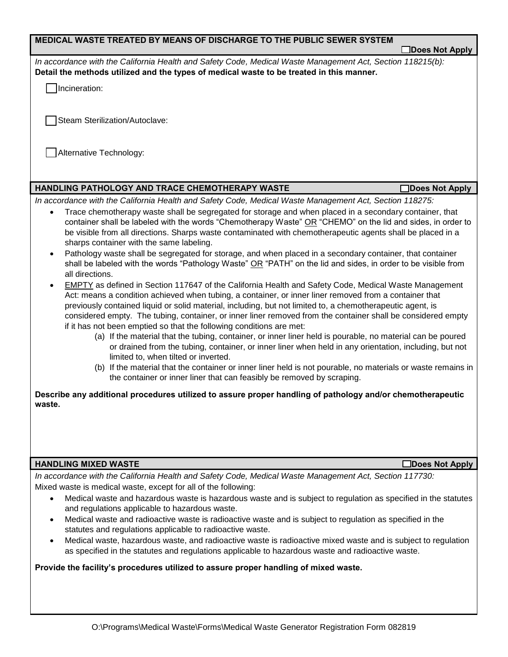| MEDICAL WASTE TREATED BY MEANS OF DISCHARGE TO THE PUBLIC SEWER SYSTEM                                                                                                                                                                                                                                                                                                                                                                                                                                                                    |                 |
|-------------------------------------------------------------------------------------------------------------------------------------------------------------------------------------------------------------------------------------------------------------------------------------------------------------------------------------------------------------------------------------------------------------------------------------------------------------------------------------------------------------------------------------------|-----------------|
|                                                                                                                                                                                                                                                                                                                                                                                                                                                                                                                                           | Does Not Apply  |
| In accordance with the California Health and Safety Code, Medical Waste Management Act, Section 118215(b):<br>Detail the methods utilized and the types of medical waste to be treated in this manner.                                                                                                                                                                                                                                                                                                                                    |                 |
| Incineration:                                                                                                                                                                                                                                                                                                                                                                                                                                                                                                                             |                 |
|                                                                                                                                                                                                                                                                                                                                                                                                                                                                                                                                           |                 |
| Steam Sterilization/Autoclave:                                                                                                                                                                                                                                                                                                                                                                                                                                                                                                            |                 |
| Alternative Technology:                                                                                                                                                                                                                                                                                                                                                                                                                                                                                                                   |                 |
|                                                                                                                                                                                                                                                                                                                                                                                                                                                                                                                                           |                 |
|                                                                                                                                                                                                                                                                                                                                                                                                                                                                                                                                           |                 |
| HANDLING PATHOLOGY AND TRACE CHEMOTHERAPY WASTE                                                                                                                                                                                                                                                                                                                                                                                                                                                                                           | Does Not Apply  |
| In accordance with the California Health and Safety Code, Medical Waste Management Act, Section 118275:                                                                                                                                                                                                                                                                                                                                                                                                                                   |                 |
| Trace chemotherapy waste shall be segregated for storage and when placed in a secondary container, that<br>container shall be labeled with the words "Chemotherapy Waste" OR "CHEMO" on the lid and sides, in order to<br>be visible from all directions. Sharps waste contaminated with chemotherapeutic agents shall be placed in a<br>sharps container with the same labeling.<br>Pathology waste shall be segregated for storage, and when placed in a secondary container, that container<br>$\bullet$                               |                 |
| shall be labeled with the words "Pathology Waste" OR "PATH" on the lid and sides, in order to be visible from<br>all directions.                                                                                                                                                                                                                                                                                                                                                                                                          |                 |
| <b>EMPTY</b> as defined in Section 117647 of the California Health and Safety Code, Medical Waste Management<br>$\bullet$<br>Act: means a condition achieved when tubing, a container, or inner liner removed from a container that<br>previously contained liquid or solid material, including, but not limited to, a chemotherapeutic agent, is<br>considered empty. The tubing, container, or inner liner removed from the container shall be considered empty<br>if it has not been emptied so that the following conditions are met: |                 |
| (a) If the material that the tubing, container, or inner liner held is pourable, no material can be poured<br>or drained from the tubing, container, or inner liner when held in any orientation, including, but not<br>limited to, when tilted or inverted.                                                                                                                                                                                                                                                                              |                 |
| (b) If the material that the container or inner liner held is not pourable, no materials or waste remains in<br>the container or inner liner that can feasibly be removed by scraping.                                                                                                                                                                                                                                                                                                                                                    |                 |
| Describe any additional procedures utilized to assure proper handling of pathology and/or chemotherapeutic<br>waste.                                                                                                                                                                                                                                                                                                                                                                                                                      |                 |
|                                                                                                                                                                                                                                                                                                                                                                                                                                                                                                                                           |                 |
|                                                                                                                                                                                                                                                                                                                                                                                                                                                                                                                                           |                 |
|                                                                                                                                                                                                                                                                                                                                                                                                                                                                                                                                           |                 |
| <b>HANDLING MIXED WASTE</b>                                                                                                                                                                                                                                                                                                                                                                                                                                                                                                               | □Does Not Apply |
| In accordance with the California Health and Safety Code, Medical Waste Management Act, Section 117730:                                                                                                                                                                                                                                                                                                                                                                                                                                   |                 |
| Mixed waste is medical waste, except for all of the following:                                                                                                                                                                                                                                                                                                                                                                                                                                                                            |                 |
| Medical waste and hazardous waste is hazardous waste and is subject to regulation as specified in the statutes<br>$\bullet$<br>and regulations applicable to hazardous waste.                                                                                                                                                                                                                                                                                                                                                             |                 |
| Medical waste and radioactive waste is radioactive waste and is subject to regulation as specified in the<br>$\bullet$                                                                                                                                                                                                                                                                                                                                                                                                                    |                 |
| statutes and regulations applicable to radioactive waste.                                                                                                                                                                                                                                                                                                                                                                                                                                                                                 |                 |
| Medical waste, hazardous waste, and radioactive waste is radioactive mixed waste and is subject to regulation<br>as specified in the statutes and regulations applicable to hazardous waste and radioactive waste.                                                                                                                                                                                                                                                                                                                        |                 |

**Provide the facility's procedures utilized to assure proper handling of mixed waste.**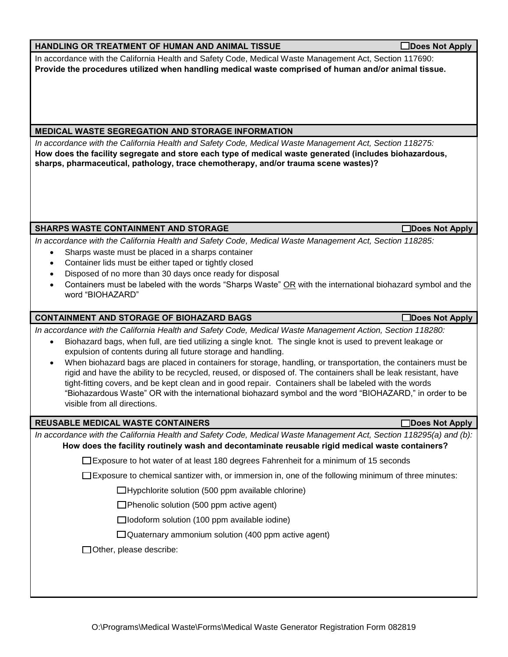# **HANDLING OR TREATMENT OF HUMAN AND ANIMAL TISSUE DOES NOT Apply**

In accordance with the California Health and Safety Code, Medical Waste Management Act, Section 117690: **Provide the procedures utilized when handling medical waste comprised of human and/or animal tissue.** 

# **MEDICAL WASTE SEGREGATION AND STORAGE INFORMATION**

*In accordance with the California Health and Safety Code, Medical Waste Management Act, Section 118275:* **How does the facility segregate and store each type of medical waste generated (includes biohazardous, sharps, pharmaceutical, pathology, trace chemotherapy, and/or trauma scene wastes)?**

# SHARPS WASTE CONTAINMENT AND STORAGE **Distribution of the CONTAINMENT AND STORAGE**

*In accordance with the California Health and Safety Code, Medical Waste Management Act, Section 118285:*

- Sharps waste must be placed in a sharps container
- Container lids must be either taped or tightly closed
- Disposed of no more than 30 days once ready for disposal
- Containers must be labeled with the words "Sharps Waste" OR with the international biohazard symbol and the word "BIOHAZARD"

# **CONTAINMENT AND STORAGE OF BIOHAZARD BAGS DOES NOT APPLY ASSESSED ASSESSED AT A REPORT OF A POINT AND REPORT**

*In accordance with the California Health and Safety Code, Medical Waste Management Action, Section 118280:*

- Biohazard bags, when full, are tied utilizing a single knot. The single knot is used to prevent leakage or expulsion of contents during all future storage and handling.
- When biohazard bags are placed in containers for storage, handling, or transportation, the containers must be rigid and have the ability to be recycled, reused, or disposed of. The containers shall be leak resistant, have tight-fitting covers, and be kept clean and in good repair. Containers shall be labeled with the words "Biohazardous Waste" OR with the international biohazard symbol and the word "BIOHAZARD," in order to be visible from all directions.

### **REUSABLE MEDICAL WASTE CONTAINERS DOES NOT APPLY ASSESSED FOR APPLYING A REUSABLE MEDICAL WASTE CONTAINERS**

*In accordance with the California Health and Safety Code, Medical Waste Management Act, Section 118295(a) and (b):*  **How does the facility routinely wash and decontaminate reusable rigid medical waste containers?**

Exposure to hot water of at least 180 degrees Fahrenheit for a minimum of 15 seconds

 $\square$  Exposure to chemical santizer with, or immersion in, one of the following minimum of three minutes:

 $\Box$ Hypchlorite solution (500 ppm available chlorine)

 $\Box$ Phenolic solution (500 ppm active agent)

 $\Box$ Iodoform solution (100 ppm available iodine)

 $\Box$ Quaternary ammonium solution (400 ppm active agent)

Other, please describe: